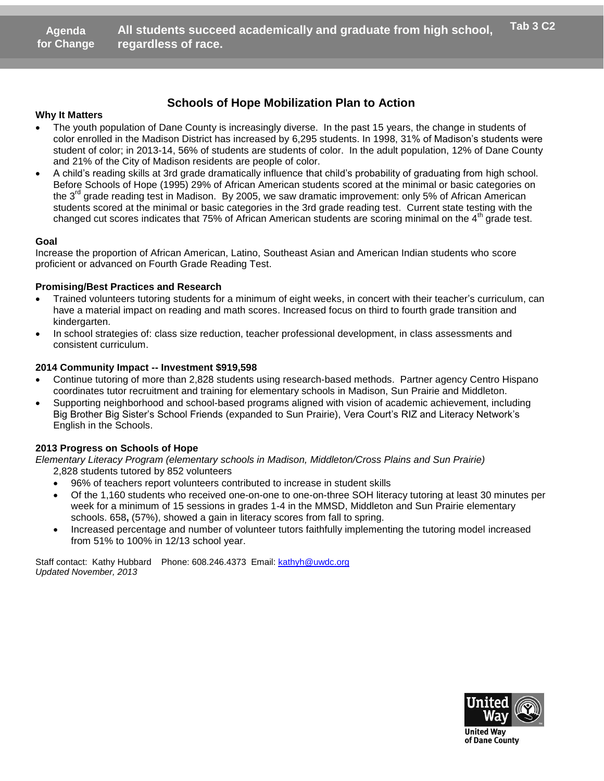### **Schools of Hope Mobilization Plan to Action**

#### **Why It Matters**

- The youth population of Dane County is increasingly diverse. In the past 15 years, the change in students of color enrolled in the Madison District has increased by 6,295 students. In 1998, 31% of Madison's students were student of color; in 2013-14, 56% of students are students of color. In the adult population, 12% of Dane County and 21% of the City of Madison residents are people of color.
- A child's reading skills at 3rd grade dramatically influence that child's probability of graduating from high school. Before Schools of Hope (1995) 29% of African American students scored at the minimal or basic categories on the 3<sup>rd</sup> grade reading test in Madison. By 2005, we saw dramatic improvement: only 5% of African American students scored at the minimal or basic categories in the 3rd grade reading test. Current state testing with the changed cut scores indicates that 75% of African American students are scoring minimal on the 4<sup>th</sup> grade test. **Schools of Hope Mobilization Plan** to station of Dane County is increasingly diverse. In the pass the Madison District has increased by 6,295 students. I in 2013-14, 56% of students are students of color. In the Dity of M

#### **Goal**

Increase the proportion of African American, Latino, Southeast Asian and American Indian students who score proficient or advanced on Fourth Grade Reading Test.

#### **Promising/Best Practices and Research**

- Trained volunteers tutoring students for a minimum of eight weeks, in concert with their teacher's curriculum, can have a material impact on reading and math scores. Increased focus on third to fourth grade transition and kindergarten.
- In school strategies of: class size reduction, teacher professional development, in class assessments and consistent curriculum.

#### **2014 Community Impact -- Investment \$919,598**

- Continue tutoring of more than 2,828 students using research-based methods. Partner agency Centro Hispano coordinates tutor recruitment and training for elementary schools in Madison, Sun Prairie and Middleton.
- Supporting neighborhood and school-based programs aligned with vision of academic achievement, including Big Brother Big Sister's School Friends (expanded to Sun Prairie), Vera Court's RIZ and Literacy Network's English in the Schools. r recruitment and training for elementary schools in Machborhood and school-based programs aligned with visio<br>
Sister's School Friends (expanded to Sun Prairie), Vera<br>
chools of Hope<br> *Program (elementary schools in Madiso*

#### **2013 Progress on Schools of Hope**

*Elementary Literacy Program (elementary schools in Madison, Middleton/Cross Plains and Sun Prairie)* 2,828 students tutored by 852 volunteers

- 96% of teachers report volunteers contributed to increase in student skills
- Of the 1,160 students who received one-on-one to one-on-three SOH literacy tutoring at least 30 minutes per week for a minimum of 15 sessions in grades 1-4 in the MMSD, Middleton and Sun Prairie elementary schools. 658**,** (57%), showed a gain in literacy scores from fall to spring.
- Increased percentage and number of volunteer tutors faithfully implementing the tutoring model increased from 51% to 100% in 12/13 school year.

Staff contact: Kathy Hubbard Phone: 608.246.4373 Email: kathyh@uwdc.org *Updated November, 2013*



**United Way** of Dane County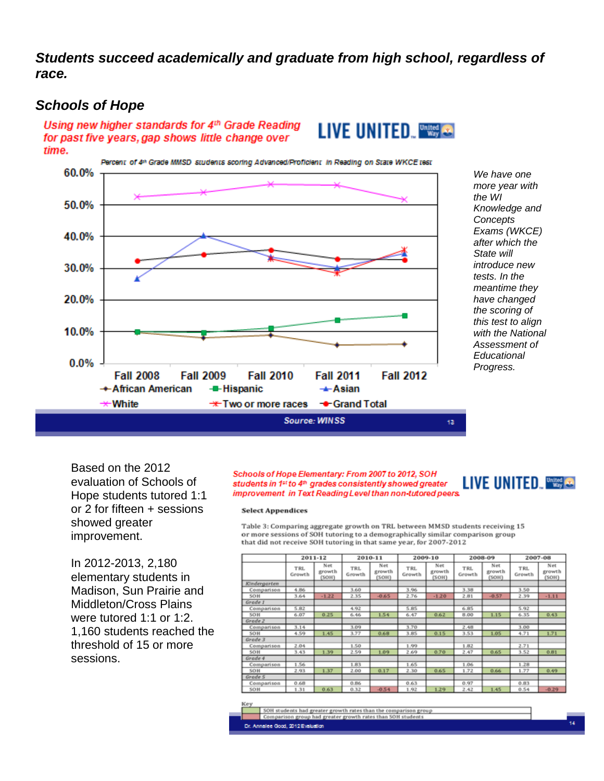*Students succeed academically and graduate from high school, regardless of race.*

## *Schools of Hope*

Using new higher standards for 4th Grade Reading for past five years, gap shows little change over time.



*We have one more year with the WI Knowledge and Concepts Exams (WKCE) after which the State will introduce new tests. In the meantime they have changed the scoring of this test to align with the National Assessment of Educational Progress.*

Based on the 2012 evaluation of Schools of Hope students tutored 1:1 or 2 for fifteen + sessions showed greater improvement.

In 2012-2013, 2,180 elementary students in Madison, Sun Prairie and Middleton/Cross Plains were tutored 1:1 or 1:2. 1,160 students reached the threshold of 15 or more sessions.

#### Schools of Hope Elementary: From 2007 to 2012, SOH students in 1st to 4th grades consistently showed greater improvement in Text Reading Level than non-tutored peers.

# **LIVE UNITED THE CO.**

#### **Select Appendices**

Table 3: Comparing aggregate growth on TRL between MMSD students receiving 15 or more sessions of SOH tutoring to a demographically similar comparison group that did not receive SOH tutoring in that same year, for 2007-2012

**LIVE UNITED WE &** 

|              | 2011-12              |                        | 2010-11       |                        | 2009-10              |                        | 2008-09              |                        | 2007-08       |                        |
|--------------|----------------------|------------------------|---------------|------------------------|----------------------|------------------------|----------------------|------------------------|---------------|------------------------|
|              | <b>TRL</b><br>Growth | Net<br>growth<br>(SOH) | TRL<br>Growth | Net<br>growth<br>(SOH) | <b>TRL</b><br>Growth | Net<br>growth<br>(SOH) | <b>TRL</b><br>Growth | Net<br>growth<br>(SOH) | TRL<br>Growth | Net<br>growth<br>(SOH) |
| Kindergarten |                      |                        |               |                        |                      |                        |                      |                        |               |                        |
| Comparison   | 4.86                 |                        | 3.60          |                        | 3.96                 |                        | 3.38                 |                        | 3.50          |                        |
| SOH          | 3.64                 | $-1.22$                | 2.35          | $-0.65$                | 2.76                 | $-1.20$                | 2.81                 | $-0.57$                | 2.39          | $-1.11$                |
| Grade 1      |                      |                        |               |                        |                      |                        |                      |                        |               |                        |
| Comparison   | 5.82                 |                        | 4.92          |                        | 5.85                 |                        | 6.85                 |                        | 5.92          |                        |
| SOH          | 6.07                 | 0.25                   | 6.46          | 1.54                   | 6.47                 | 0.62                   | 8.00                 | 1.15                   | 6.35          | 0.43                   |
| Grade 2      |                      |                        |               |                        |                      |                        |                      |                        |               |                        |
| Comparison   | 3.14                 |                        | 3.09          |                        | 3.70                 |                        | 2.48                 |                        | 3.00          |                        |
| SOH          | 4.59                 | 1.45                   | 3.77          | 0.68                   | 3.85                 | 0.15                   | 3.53                 | 1.05                   | 4.71          | 1.71                   |
| Grade 3      |                      |                        |               |                        |                      |                        |                      |                        |               |                        |
| Comparison   | 2.04                 |                        | 1.50          |                        | 1.99                 |                        | 1.82                 |                        | 2.71          |                        |
| SOH          | 3.43                 | 1.30                   | 2.50          | 1.09                   | 2.69                 | 0.70                   | 2.47                 | 0.65                   | 3.52          | 0.81                   |
| Grade 4      |                      |                        |               |                        |                      |                        |                      |                        |               |                        |
| Comparison   | 1.56                 |                        | 1.83          |                        | 1.65                 |                        | 1.06                 |                        | 1.28          |                        |
| SOH          | 2.93                 | 1.37                   | 2.00          | 0.17                   | 2.30                 | 0.65                   | 1.72                 | 0.66                   | 1.77          | 0.49                   |
| Grade 5      |                      |                        |               |                        |                      |                        |                      |                        |               |                        |
| Comparison   | 0.68                 |                        | 0.86          |                        | 0.63                 |                        | 0.97                 |                        | 0.83          |                        |
| SOH          | 1.31                 | 0.63                   | 0.32          | $-0.54$                | 1.92                 | 1.29                   | 2.42                 | 1.45                   | 0.54          | $-0.29$                |

SOH students had greater growth rates than the comparison group parison group had greater growth rates than SOH student:

e Good, 2012 Evaluation